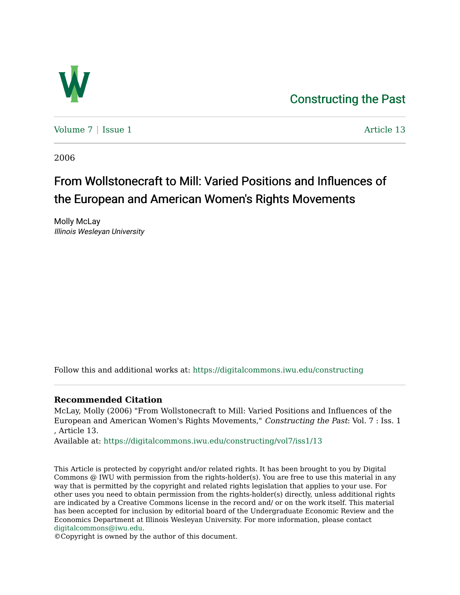

Volume  $7 \mid$  [Issue 1](https://digitalcommons.iwu.edu/constructing/vol7/iss1)  $\mid$  Article 13

2006

# From Wollstonecraft to Mill: Varied Positions and Influences of the European and American Women's Rights Movements

Molly McLay Illinois Wesleyan University

Follow this and additional works at: [https://digitalcommons.iwu.edu/constructing](https://digitalcommons.iwu.edu/constructing?utm_source=digitalcommons.iwu.edu%2Fconstructing%2Fvol7%2Fiss1%2F13&utm_medium=PDF&utm_campaign=PDFCoverPages)

# **Recommended Citation**

McLay, Molly (2006) "From Wollstonecraft to Mill: Varied Positions and Influences of the European and American Women's Rights Movements," Constructing the Past: Vol. 7 : Iss. 1 , Article 13.

Available at: [https://digitalcommons.iwu.edu/constructing/vol7/iss1/13](https://digitalcommons.iwu.edu/constructing/vol7/iss1/13?utm_source=digitalcommons.iwu.edu%2Fconstructing%2Fvol7%2Fiss1%2F13&utm_medium=PDF&utm_campaign=PDFCoverPages)

This Article is protected by copyright and/or related rights. It has been brought to you by Digital Commons @ IWU with permission from the rights-holder(s). You are free to use this material in any way that is permitted by the copyright and related rights legislation that applies to your use. For other uses you need to obtain permission from the rights-holder(s) directly, unless additional rights are indicated by a Creative Commons license in the record and/ or on the work itself. This material has been accepted for inclusion by editorial board of the Undergraduate Economic Review and the Economics Department at Illinois Wesleyan University. For more information, please contact [digitalcommons@iwu.edu.](mailto:digitalcommons@iwu.edu)

©Copyright is owned by the author of this document.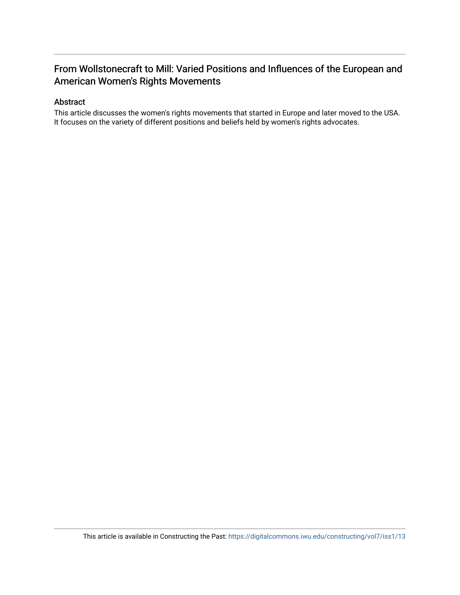# From Wollstonecraft to Mill: Varied Positions and Influences of the European and American Women's Rights Movements

## Abstract

This article discusses the women's rights movements that started in Europe and later moved to the USA. It focuses on the variety of different positions and beliefs held by women's rights advocates.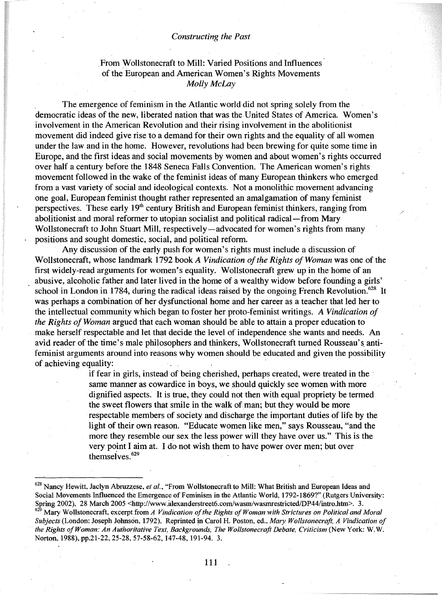## .From Wollstonecraft to Mill: Varied Positions and Influences of the European and American Women's Rights Movements *Molly McLay*

The emergence of feminism in the Atlantic world did not spring solely from the democratic ideas of the new, liberated nation that was the United States of America. Women's involvement in the American Revolution and their rising involvement in the abolitionist movement did indeed give rise to a demand for their own rights and the equality of all women under the law and in the home. However, revolutions had been brewing for quite some time in Europe, and the first ideas and social movements by women and about women's rights occurred over half a century before the 1848 Seneca Falls Convention. The American women's rights movement followed in the wake of the feminist ideas of many European thinkers who emerged from a vast variety of social and ideological contexts. Not a monolithic movement advancing one goal, European feminist thought rather represented an amalgamation of many feminist perspectives. These early  $19<sup>th</sup>$  century British and European feminist thinkers, ranging from abolitionist and moral reformer to utopian socialist and political radical-from Mary Wollstonecraft to John Stuart Mill, respectively—advocated for women's rights from many positions and sought domestic, social, and political reform.

Any discussion of the early push for women's rights must include a discussion of Wollstonecraft, whose landmark 1792 book *A Vindication of the Rights of Woman* was one of the first widely-read arguments for women's equality. Wollstonecraft grew up in the home of an abusive, alcoholic father and later lived in the home of a wealthy widow before founding a girls' school in London in 1784, during the radical ideas raised by the ongoing French Revolution.<sup>628</sup> It was perhaps a combination of her dysfunctional home and her career as a teacher that led her to the intellectual community which began to foster her proto-feminist writings. *A Vindication of the Rights ofWoman* argued that each woman should be able to attain a proper education to make herself respectable and let that decide the level of independence she wants and needs. An avid reader of the time's male philosophers and thinkers, Wollstonecraft turned Rousseau's antifeminist arguments around into reasons why women should be educated and given the possibility of achieving equality:

> if fear in girls, instead of being cherished, perhaps created, were treated in the . same manner as cowardice in boys, we should quickly see women with more dignified aspects. It is true, they could not then with equal propriety be termed the sweet flowers that smile in the walk of man; but they would be more respectable members of society and discharge the important duties of life by the light of their own reason. "Educate women like men," says Rousseau, "and the more they resemble our sex the less power will they have over us." This is the very point I aim at. I do not wish them to have power over men; but over themselves.<sup>629</sup>

<sup>628</sup> Nancy Hewitt, Jaclyn Abruzzese, *et al.,* "From Wollstonecraft to Mill: What British and European Ideas and Social Movements Influenced the Emergence of Feminism in the Atlantic World, 1792-1869?" (Rutgers University: Spring 2002), 28 March 2005 <http://www.alexanderstreet6.com/wasm/wasmrestricted/DP44/intro.htm>. 3.

<sup>629</sup> Mary Wollstonecraft, excerpt from *A Vindication ofthe Rights ofWoman with Strictures on Political and Moral Subjects* (London: Joseph Johnson, 1.792). Reprinted in Carol H. Poston, ed., *Mary Wollstonecrajt, A Vindication of the Rights ofWoman: An Authoritative Text, Backgrounds, The Wollstonecrajt Debate. Cl'iticism* (New York: W. W. Norton, 1988), pp.21-22, 25-28, 57-58-62,147-48,191-94. 3.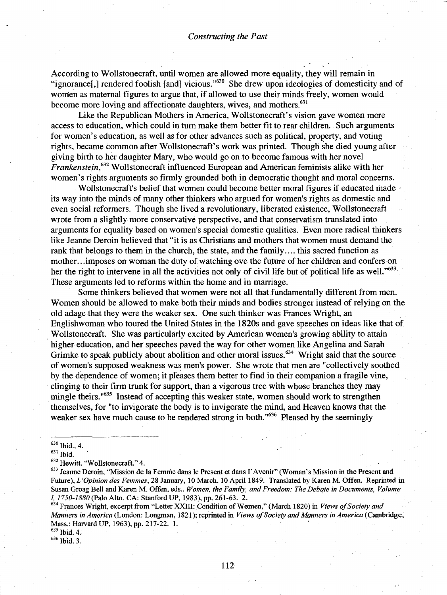According to Wollstonecraft, until women are allowed more equality, they will remain in "ignorance[,] rendered foolish [and] vicious."<sup>630</sup> She drew upon ideologies of domesticity and of women as maternal figures to argue that, if allowed to use their minds freely, women would become more loving and affectionate daughters, wives, and mothers.<sup>631</sup>

Like the Republican Mothers in America, Wollstonecraft's vision gave women more access to education, which could in turn make them better fit to rear children. Such arguments for women's education, as well as for other advances such as political, property, and voting rights, became common after Wollstonecraft's work was printed. Though she died young after giving birth to her daughter Mary, who would go on to become famous with her novel *Frankenstein,632* Wollstonecraft influenced European and American feminists alike with her women's rights arguments so firmly grounded both in democratic thought and moral concerns.

Wollstonecraft's belief that women could become better moral figures if educated made its way into the minds of many other thinkers who argued for women's rights as domestic and even social reformers. Though she lived a revolutionary, liberated existence, Wollstonecraft wrote from a slightly more conservative perspective, and that conservatism translated into arguments for equality based on women's special domestic qualities. Even more radical thinkers like Jeanne Deroin believed that "it is as Christians and mothers that women must demand the rank that belongs to them in the church, the state, and the family.... this sacred function as mother. ..imposes on woman the duty of watching ove the future of her children and confers on her the right to intervene in all the activities not only of civil life but of political life as well."<sup>633</sup>. These arguments led to reforms within the home and in marriage.

Some thinkers believed that women were not all that fundamentally different from men. Women should be allowed to make both their minds and bodies stronger instead of relying on the old adage that they were the weaker sex. One such thinker was Frances Wright, an Englishwoman who toured the United States in the 1820s and gave speeches on ideas like that of . Wollstonecraft. She was particularly excited by American women's growing ability to attain higher education, and her speeches paved the way for other women like Angelina and Sarah Grimke to speak publicly about abolition and other moral issues.<sup>634</sup> Wright said that the source of women's supposed weakness was men's power. She wrote that men are "collectively soothed by the dependence of women; it pleases them better to find in their companion a fragile vine, clinging to their firm trunk for support, than a vigorous tree with whose branches they may mingle theirs.<sup>"635</sup> Instead of accepting this weaker state, women should work to strengthen themselves, for "to invigorate the body is to invigorate the mind, and Heaven knows that the weaker sex have much cause to be rendered strong in both.<sup> $0.636$ </sup> Pleased by the seemingly

<sup>634</sup> Frances Wright. excerpt from "Letter XXIII: Condition of Women." (March 1820) in *Views ofSociety and Manners in America* (London: Longman, 1821); reprinted in *Views ofSociety and Manners in America* (Cambridge, Mass.: Harvard UP, 1963), pp. 217-22. 1.

<sup>635</sup> Ibid. 4.

 $636$  Ibid. 3.

 $630$  Ibid., 4.

<sup>631</sup> Ibid.

<sup>632</sup> Hewitt. "Wollstonecraft." 4. .

<sup>633</sup> Jeanne Deroin. "Mission de la Femme dans Ie Present et dans I'Avenir" (Woman's Mission in the Present and Future). *L 'Opinion des Femmes.* 28 January, 10 March. 10 April 1849. Translated by Karen M. Offen. Reprinted in Susan Groag Bell and Karen M. Offen. eds.• *Women, the Family, and Freedom: The Debate in Documents, Volume 1,1750-1880* (Palo Alto. CA: Stanford UP. 1983). pp. 261-63. 2.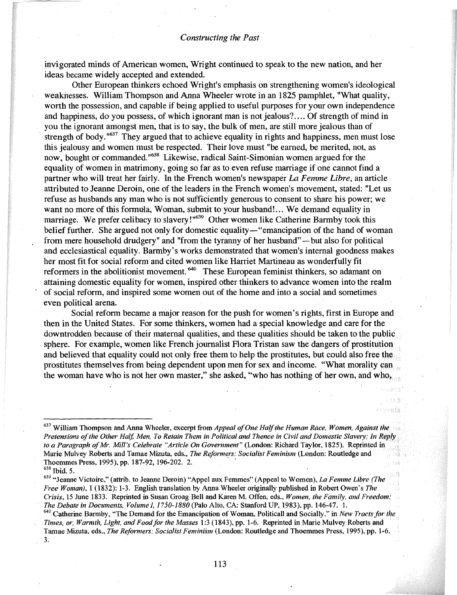invigorated minds of American women, Wright continued to speak to the new nation, and her ideas became widely accepted and extended.

Other European thinkers echoed Wright's emphasis on strengthening women's ideological weaknesses. William Thompson and Anna Wheeler wrote in an 1825 pamphlet, "What quality, worth the possession, and capable if being applied to useful purposes for your own independence and happiness, do you possess, of which ignorant man is not jealous? ... Of strength of mind in you the ignorant amongst men, that is to say, the bulk of men, are still more jealous than of strength of body.<sup>" $637$ </sup> They argued that to achieve equality in rights and happiness, men must lose this jealousy and women must be respected. Their love must "be earned, be merited, not, as now, bought or commanded."<sup>638</sup> Likewise, radical Saint-Simonian women argued for the equality of women in matrimony, going so far as to even refuse marriage if one cannot find a partner who will treat her fairly. In the French women's newspaper La *Femme Libre,* an article attributed to Jeanne Deroin, one of the leaders in the French women's movement, stated: "Let us refuse as husbands any man who is not sufficiently generous to consent to share his power; we want no more of this formula, Woman, submit to your husband!... We demand equality in marriage. We prefer celibacy to slavery!"<sup>639</sup> Other women like Catherine Barmby took this belief further. She argued not only for domestic equality— "emancipation of the hand of woman from mere household drudgery" and "from the tyranny of her husband"—but also for political and ecclesiastical equality. Barmby's works demonstrated that women's internal goodness makes her most fit for social reform and cited women like Harriet Martineau as wonderfully fit reformers in the abolitionist movement.<sup>640</sup> These European feminist thinkers, so adamant on attaining domestic equality for women, inspired other thinkers to advance women into the realm of social reform, and inspired some women out of the home and into a social and sometimes even political arena.

Social reform became a major reason for the push for women's rights, first in Europe and then in the United States. For some thinkers, women had a special knowledge and care for the downtrodden because of their maternal qualities, and these qualities should be taken to the public sphere. For example, women like French journalist Flora Tristan saw the dangers of prostitution and believed that equality could not only free them to help the prostitutes, but could also free the. prostitutes themselves from being dependent upon men for sex and income. "What morality can the woman have who is not her own master," she asked, "who has nothing of her own, and who,

<sup>637</sup> William Thompson and Anna Wheeler, excerpt from *Appeal ofOne Halfthe Human Race, Women, Against* Pretensions of the Other Half, Men, To Retain Them in Political and Thence in Civil and Domestic Slavery; In Reply *to a Paragraph ofMr. Mill's Celebrate "Article On Government"* (London: Richard Taylor, 1825). Reprinted in Marie Mulvey Roberts and Tamae Mizuta, eds., *The Reformers: Socialist Feminism* (London: Routledge and Thoemmes Press, 1995), pp. 187-92, 196-202. 2. <sup>638</sup> Ibid. 5.

<sup>&</sup>lt;sup>639</sup> "Jeanne Victoire," (attrib. to Jeanne Deroin) "Appel aux Femmes" (Appeal to Women), *La Femme Libre (The Free Woman),* 1 (1832): 1-3. English translation by Anna Wheeler originally published in Robert Owen's *The Crisis,* 15 June 1833. Reprinted in Susan Groag Bell and Karen M. Offen, eds., *Women, the Family, and Freedom: The Debate in Documents, Volume I, 1750-1880* (Palo Alto, CA: Stanford UP, 1983), pp. 146-47. 1.

<sup>&</sup>lt;sup>640</sup> Catherine Barmby, "The Demand for the Emancipation of Woman, Politicall and Socially," in *New Tracts for the Times, or, Warmth, Light, and Food for the Masses 1:3 (1843), pp. 1-6. Reprinted in Marie Mulvey Roberts and* Tamae Mizuta, eds., *The Reformers: Socialist Feminism* (London: Routledge and Thoemmes Press, 1995). Pl'. 1-6. 3.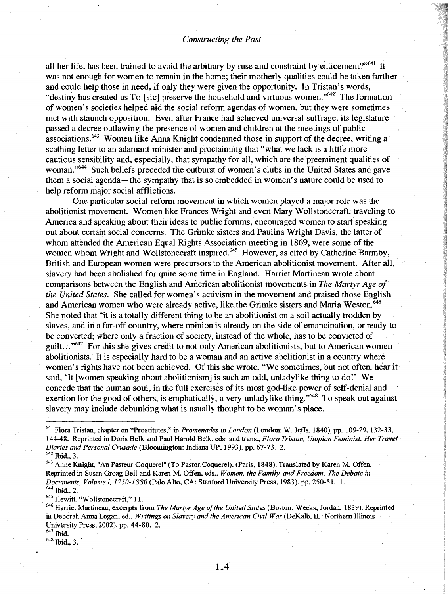all her life, has been trained to avoid the arbitrary by ruse and constraint by enticement?"<sup>641</sup> It was not enough for women to remain in the home; their motherly qualities could be taken further and could help those in need, if only they were given the opportunity. In Tristan's words, "destiny has created us To [sic] preserve the household and virtuous women." $642$  The formation of women's societies helped aid the social reform agendas of women, but they were sometimes met with staunch opposition. Even after France had achieved universal suffrage, its legislature passed a decree outlawing the presence of women and children at the meetings of public associations.<sup>643</sup> Women like Anna Knight condemned those in support of the decree, writing a scathing letter to an adamant minister and proclaiming that "what we lack is a little more cautious sensibility and, especially, that sympathy for all, which are the preeminent qualities of woman."<sup>644</sup> Such beliefs preceded the outburst of women's clubs in the United States and gave them a social agenda- the sympathy that is so embedded in women's nature could be used to help reform major social afflictions.

One particular social reform movement in which women played a major role was the abolitionist movement. Women like Frances Wright and even Mary Wollstonecraft, traveling to America and speaking about their ideas to public forums, encouraged women to start speaking out about certain social concerns. The Grimke sisters and Paulina Wright Davis, the latter of whom attended the American Equal Rights Association meeting in 1869, were some of the women whom Wright and Wollstonecraft inspired.<sup>645</sup> However, as cited by Catherine Barmby, British and European women were precursors to the American abolitionist movement. After all, slavery had been abolished for quite some time in England. Harriet Martineau wrote about comparisons between the English and Ariterican abolitionist movements in *The Martyr* Age *of the United States;* She called for women's activism in the movement and praised those English and American women who were already active, like the Grimke sisters and Maria Weston.<sup>646</sup> She noted that "it is a totally different thing to be an abolitionist on a soil actually trodden by slaves, and in a far-off country, where opinion is already on the side of emancipation, or ready to be converted; where only a fraction of society, instead of the whole, has to be convicted of guilt...<sup>"647</sup> For this she gives credit to not only American abolitionists, but to American women abolitionists. It is especially hard to be a woman and an active abolitionist in a country where women's rights have not been achieved. Of this she wrote, "We sometimes, but not often, hear it said, 'It [women speaking about abolitionism] is such an odd, unladylike thing to do!' We concede that the human soul, in the full exercises of its most god-like power of self-denial and exertion for the good of others, is emphatically, a very unladylike thing."<sup>648</sup> To speak out against slavery may include debunking what is usually thought to be woman's place.

<sup>&</sup>lt;sup>641</sup> Flora Tristan, chapter on "Prostitutes," in *Promenades in London* (London: W. Jeffs, 1840), pp. 109-29, 132-33, 144-48. Reprinted in Doris Belk and Paul Harold Belk. eds; and trans., *Flora Tristan, Utopian Feminist: Her Travel Diaries and Personal Crusade* (Bloomington: Indiana UP, 1993), pp. 67-73. 2. <sup>642</sup> Ibid., 3.

<sup>643</sup> Anne Knight, "Au Pasteur Coquerel" (To Pastor Coquerel), (Paris, 1848). Translated by Karen M. Offen. Reprinted in Susan Groag Bell and Karen M. bffen, eds., *Women, the Family, and Freedom: The Debate in Documents, Volume* 1, *1750-1880* (Palo Alto, CA: Stanford University Press, 1983), pp. 250-51. 1. <sup>644</sup> Ibid., 2.

<sup>645</sup> Hewitt, "Wollstonecraft," II.

<sup>&</sup>lt;sup>646</sup> Harriet Martineau, excerpts from *The Martyr Age of the United States* (Boston: Weeks, Jordan, 1839). Reprinted in Deborah Anna Logan, ed., *Writings on Slavery and the American Civil War* (DeKalb, LL: Northern Illinois University Press, 2002), pp. 44-80. 2.

 $647$  Ibid. <sup>648</sup> Ibid., 3..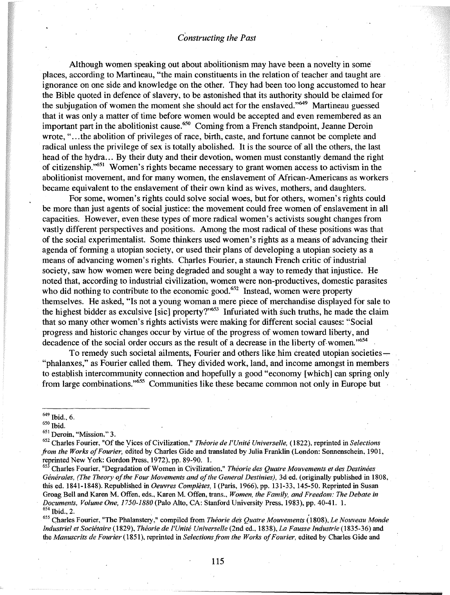Although women speaking out about aboiitionism may have been a novelty in some places, according to Martineau, "the main constituents in the relation of teacher and taught are ignorance on one side and knowledge on the other. They had been too long accustomed to hear the Bible quoted in defence of slavery, to be astonished that its authority should be claimed for the subjugation of women the moment she should act for the enslaved."649 Martineau guessed that it was only a matter of time before women would be accepted and even remembered as an important part in the abolitionist cause.<sup>650</sup> Coming from a French standpoint, Jeanne Deroin wrote, "...the abolition of privileges of race, birth, caste, and fortune cannot be complete and radical unless the privilege of sex is totally abolished. It is the source of all the others, the last head of the hydra... By their duty and their devotion, women must constantly demand the right of citizenship."<sup>651</sup> Women's rights became necessary to grant women access to activism in the abolitionist movement, and for many women, the enslavement of Mrican-Americans as workers . became equivalent to the enslavement of their own kind as wives, mothers, and daughters.

For some, women's rights could solve social woes, but for others, women's rights could be more than just agents of social justice: the movement could free women of enslavement in all capacities. However, even these types of more radical women's activists sought changes from vastly different perspectives and positions. Among the most radical of these positions was that of the social experimentalist. Some thinkers used women's rights as a means of advancing their agenda of forming a utopian society, or used their plans of developing a utopian society as a means of advancing women's rights. Charles Fourier, a staunch French critic of industrial society, saw how women were being degraded and sought a way to remedy that injustice. He noted that, according to industrial civilization, women were non-productives, domestic parasites who did nothing to contribute to the economic good.<sup>652</sup> Instead, women were property themselves. He asked, "Is not a young woman a mere piece of merchandise displayed for sale to the highest bidder as exculsive [sic] property?"653 Infuriated with such truths, he made the claim that so many other women's rights activists were making for different social causes: "Social progress and historic changes occur by virtue of the progress of women toward liberty, and decadence of the social order occurs as the result of a decrease in the liberty of women."<sup>654</sup>

To remedy such societal ailments, Fourier and others like him created utopian societies $-$ "phalanxes," as Fourier called them. They divided work, land, and income amongst in members to establish intercommunity connection and hopefully a good "economy [which] can spring only from large combinations."655 Communities like these became common not only in Europe but

<sup>650</sup> Ibid.

<sup>651</sup> Deroin, "Mission," 3.

<sup>653</sup> Charles Fourier, "Degradation ofWomen in Civilization," *Theorie des Quatre Mouvements et des Destinees Generales, (The Theory ofthe Four Movements and ofthe General Destinies),* 3ded. (originally published in 1808, this ed. 1841-1848). Republished in *Oeuvres Completes,* I (Paris, 1966), pp. 131-33, 145-50. Reprinted in Susan Groag Bell and Karen M. Offen, eds., Karen M. Offen, trans., *Women, the Family, and Freedom: The Debate in Documents, Volume One, 1750-1880* (Palo Alto, CA: Stanford University Press, 1983), pp. 40-41. 1.  $654$  Ibid., 2.

<sup>655</sup> Charles Fourier, "The Phalanstery," compiled from *Theorie des Quah'e Mouvements* (1808), *Le Nouveau Monde 1ndustriel et Societaire* (1829), *The01'ie de rUnite Universelle* (2nd ed., 1838), *La Fausse 1ndustrie* (1835-36) and the *Manuscrits de Fourier* (1851), reprinted in *Selectionsfrom the Works ofFourier,* edited by Charles Gide and

115

<sup>649</sup> Ibid., 6.

<sup>652</sup> Charles Fourier, "Ofthe yices ofCivilization," *The01'ie de rUnite Universelle,* (1822), reprinted in *Selections from the Works ofFourier,* edited by Charles Gide and translated by Julia Franklin (London: Sonnenschein, 1901, reprinted New York: Gordon Press, 1972), pp. 89-90. 1.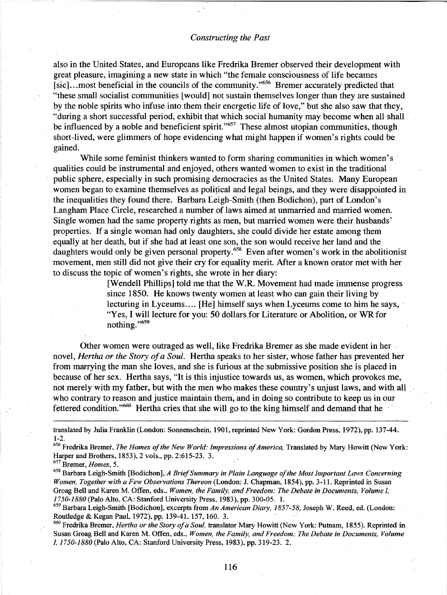also in the United States, and Europeans like Fredrika Bremer observed their development with great pleasure, imagining a new state in which "the female consciousness of life becames [sic]...most beneficial in the councils of the community."<sup>656</sup> Bremer accurately predicted that "these small socialist communities [would] not sustain themselves longer than they are sustained by the noble spirits who infuse into them their energetic life of love," but she also saw that they, "during a short successful period, exhibit that which social humanity may become when all shall be influenced by a noble and beneficient spirit."<sup>657</sup> These almost utopian communities, though short-lived, were glimmers of hope evidencing what might happen if women's rights could be gained.

While some feminist thinkers wanted to form sharing communities in which women's qualities could be instrumental and enjoyed, others wanted women to exist in the traditional public sphere, especially in such promising democracies as the United States. Many European women began to examine themselves as polirical and legal beings, and they were disappointed in the inequalities they found there. Barbara leigh-Smith (then Bodichon), part of London's Langham Place Circle, researched a number of laws aimed at unmarried and married women. Single women had the same property rights as men, but married women were their husbands' properties. If a single woman had only daughters, she could divide her estate among them equally at her death, but if she had at least one son, the son would receive her land and the daughters would only be given personal property.<sup>658</sup> Even after women's work in the abolitionist movement, men still did not give their cry for equality merit. After a known orator met with her to discuss the topic of women's rights, she wrote in her diary:

> [Wendell Phillips] told me that the W.R. Movement had made immense progress since 1850. He knows twenty women at least who can gain their living by lecturing in Lyceums.... [He] himself says when Lyceums come to him he says,· "Yes, I will lecture for you: 50 dollars for Literature or Abolition, or WR for nothing."<sup>659</sup>

Other women were outraged as well, like Fredrika Bremer as she made evident in her novel, *Hertha or the Story ofa Soul.* Hertha speaks to her sister, whose father has prevented her from marrying the man she loves, and she is furious at the submissive position she is placed in because of her sex. Hertha says, "It is this injustice towards us, as women, which provokes me, not merely with my father, but with the men who makes these country's unjust laws, and with all who contrary to reason and justice maintain them; and in doing so contribute to keep us in our fettered condition."<sup>660</sup> Hertha cries that she will go to the king himself and demand that he

translated by Julia Franklin (London: Sonnenschein, 1901, reprinted New York: Gordon Press, 1972), pp. 137~44. 1-2.

<sup>656</sup> Fredrika Bremer, *The Homes ofthe New World: Impressions ofAmerica,* Translated by Mary Howitt (New York: Harper and Brothers, 1853), 2 vols., pp. 2:615-23. 3.

<sup>658</sup> Barbara Leigh-Smith [Bodichon],A *BriefSummary in Plain Language ofthe Most Important Lmvs Concerning Women, Together with a Few Observations Thereon* (London: J. Chapman, 1854), pp. 3-11. Reprinted in Susan Groag Bell and Karen M. Offen, eds., *Women, the Family, and Freedom: The Debate in Documents, Volume 1, 1750-1880* (Palo Alto, CA: Stanford University Press, 1983), pp. 300-05. 1. .

659 Barbara Leigh-Smith [Bodichon], excerpts from An American Diary, 1857-58, Joseph W. Reed, ed. (London: Routledge & Kegan Paul, 1972), pp. 139-41, 157,160. 3.

<sup>660</sup> Fredrika Bremer, *Hertha or the Story ofa Soul,* translator Mary Howitt (New York: Putnam, 1855). Reprinted in Susan Groag Bell and Karen M. Offen, eds., *Women, the Family, and Freedom: The Debate in Documents, Volume 1, 1750-1880* (Palo Alto, CA: Stanford University Press, 1983), pp. 319-23. 2.

<sup>657</sup> Bremer, *Homes, 5.*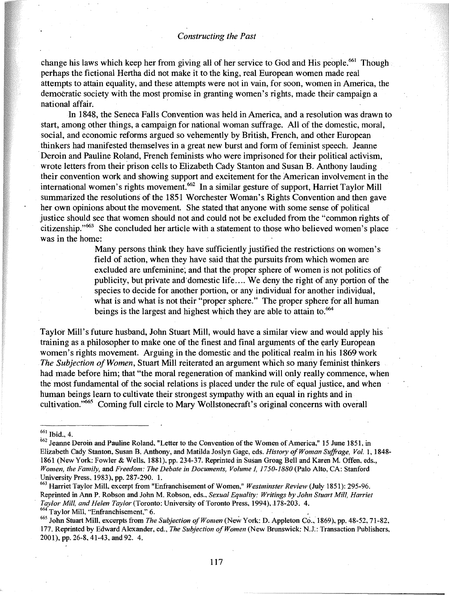change his laws which keep her from giving all of her service to God and His people.<sup>661</sup> Though perhaps the fictional Hertha did not make it to the king, real European women made real attempts to attain equality, and these attempts were not in vain, for soon, women in America, the democratic society with the most promise in granting women's rights, made their campaign a national affair;

In 1848, the Seneca Falls Convention was held in America, and a resolution was drawn to start, among other things, a campaign for national woman suffrage. All of the domestic, moral, social, and economic reforms argued so vehemently by British, French, and other European thinkers had manifested themselves'in a great new burst and form of feminist speech. Jeanne .Deroin and Pauline Roland, French feminists who were imprisoned for their political activism, wrote letters from their prison cells to Elizabeth Cady Stanton and Susan B. Anthony lauding their convention work and showing support and excitement for the American involvement in the international women's rights movement.<sup>662</sup> In a similar gesture of support, Harriet Taylor Mill summarized the resolutions of the 1851 Worchester Woman's Rights Convention and then gave her own opinions about the movement. She stated that anyone with some sense of political justice should see that women should not and could not be excluded from the "common rights of citizenship."663 She concluded her article with a statement to those who believed women's place was in the home:

> Many persons think they have sufficiently justified the restrictions on women's field of action, when they have said that the pursuits from which women are excluded are unfeminine; and that the proper sphere of women is not politics of publicity, but private and'domestic life .... We deny the right of any portion of the species to decide for another portion, or any individual for another individual, what is and what is not their "proper sphere." The proper sphere for all human beings is the largest and highest which they are able to attain to.<sup>664</sup>

Taylor Mill's future husband, John Stuart Mill, would have a similar view and would apply his training as a philosopher to make one of the finest and final arguments of the early European women's rights movement. Arguing in the domestic and the political realm in his 1869 work *The Subjection ofWomen,* Stuart Mill reiterated an argument which so many feminist thinkers had made before him; that "the moral regeneration of mankind will only really commence, when the most fundamental of the social relations is placed under the rule of equal justice, and when human beings learn to cultivate their strongest sympathy with an equal in rights and in cultivation."665 Coming full circle to Mary Wollstonecraft's original concerns with overall

<sup>665</sup> John Stuart Mill, excerpts from *The Subjection ojWomen* (New York: D. Appleton Co., 1869), pp. 48-52, 71-82, 177. Reprinted by Edward Alexander, ed., *The Subjection ojWol11en* (New Brunswick: N.l: Transaction Publishers, 2001), pp. 26-8, 41-43, and 92. 4.

<sup>661</sup> Ibid., 4.

<sup>662</sup> Jeanne Deroin and Pauline Roland, "Letter to the Convention of the Women of America," 15 June 1851, in Elizabeth Cady Stanton, Susan B. Anthony, and Matilda Joslyn Gage, eds. *History ofWoman Suffrage, Vol.* 1,1848- 1861 (New York: Fowler & Wells, 1881), pp. 234-37. Reprinted in Susan Groag Bell and Karen M. Offen, eds., *Women, the Family,* and *Freedom: The Debate in Documents, Volume I, 1750-1880* (Palo Alto, CA: Stanford University Press, 1983), pp. 287-290. 1.

<sup>&</sup>lt;sup>663</sup> Harriet Taylor Mill, excerpt from "Enfranchisement of Women," *Westminster Review* (July 1851): 295-96. Reprinted in AnnP. Robson and John M. Robson, eds., *Sexual Equality: Writings by John Stuart Mill, Harriet Taylor Mill, and Helen Taylor* (Toronto: University of Toronto Press, 1994), 178-203. 4. <sup>664</sup> Taylor Mill, "Enfranchisement," 6.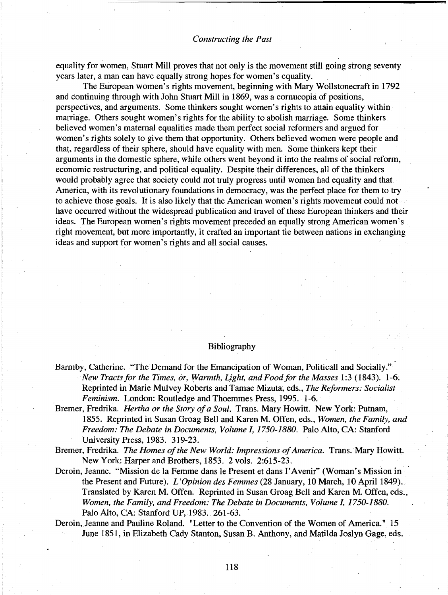**4**

equality for women, Stuart Mill proves that not only is the movement still going strong seventy years later, a man can have equally strong hopes for women's equality.

The European women's rights movement, beginning with Mary Wollstonecraft in 1792 and continuing through with John Stuart Mill in 1869, was a cornucopia of positions, perspectives, and arguments. Some thinkers sought women's rights to attain equality within marriage. Others sought women's rights for the ability to abolish marriage. Some thinkers believed women's maternal equalities made them perfect social reformers and argued for women's rights solely to give them that opportunity. Others believed women were people and that, regardless of their sphere, should have equality with men. Some thinkers kept their arguments in the domestic sphere, while others went beyond it into the realms of social reform, economic restructuring, and political equality. Despite their differences, all of the thinkers would probably agree that society could not truly progress until women had equality and that America, with its revolutionary foundations in democracy, was the perfect place for them to try to achieve those goals. It is also likely that the American women's rights movement could not have occurred without the widespread publication and travel of these European thinkers and their ideas. The European women's rights movement preceded an equally strong American women's right movement, but more importantly, it crafted an important tie between nations in exchanging ideas and support for women's rights and all social causes.

#### Bibliography

- Barmby, Catherine. "The Demand for the Emancipation of Woman, Politicall and Socially." *New Tractsfor the Times, or, Warmth, L,ight, and Foodfor the Masses* 1:3 (1843). 1-6. Reprinted in Marie Mulvey Roberts and Tamae Mizuta~ eds., *The Reformers: Socialist Feminism.* London: Routledge and Thoemmes Press, 1995. 1-6.
- Bremer, Fredrika. *Hertha or the Story ofa Soul.* Trans. Mary Howitt. New York: Putnam, 1855. Reprinted in Susan Groag Bell and Karen M. Offen, eds., *Women, the Family, and Freedom: The Debate in Documents, Volume 1,1750-1880.* Palo *Alto,* CA: Stanford University Press, 1983. 319-23.
- Bremer, Fredrika. *The Homes ofthe New World: Impressions ofAmerica.* Trans. Mary Howitt. New York: Harper and Brothers, 1853. 2 vols. 2:615-23.
- Deroin, Jeanne. "Mission de la Femme dans Ie Present et dans I'Avenir" (Woman's Mission in the Present and Future). *L'Opinion des Femmes* (28 January, 10 March, 10 April 1849). Translated by Karen M. Offen. Reprinted in Susan Groag Bell and Karen M. Offen, eds., *Women, the Family, and Freedom: The Debate in Documents, Volume I, 1750-1880.* Palo Alto, CA: Stanford UP, 1983.. 261-63. .
- Deroin, Jeanne and Pauline Roland. "Letter to the Convention of the Women of America." 15 June 1851, in Elizabeth Cady Stanton, Susan B. Anthony, and Matilda Joslyn Gage, eds.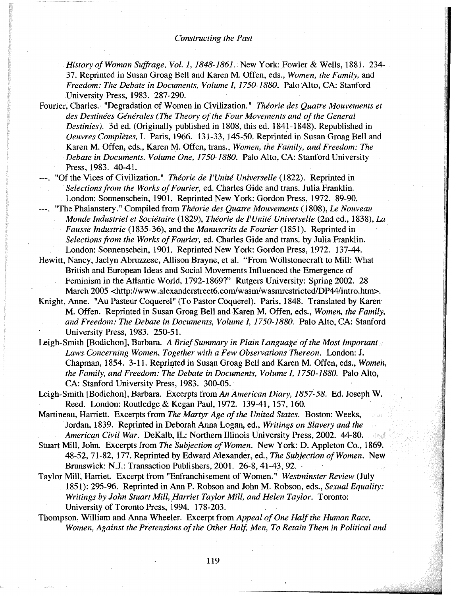*History ofWoman Suffrage, Vol.* 1, 1848-1861.. New York: Fowler & Wells, 1881. 234- 37. Reprinted in Susan Groag Bell and Karen M. Offen, eds., *Women, the Family,* and *Freedom: The Debate in Documents, Volume 1,1750-1880.* Palo Alto, CA: Stanford University Press, 1983. 287-290.

Fourier, Charles. "Degradation of Women in Civilization." *Theorie des Quatre Mouvements et des Destinees Generales (The Theory ofthe Four Movements and ofthe General Destinies).* 3d ed. (Originally published in 1808, this ed. 1841-1848). Republished in *Oeuvres Completes,* 1. Paris, 1966. 131-33, 145-50. Reprinted in Susan Groag Bell and Karen M. Offen, eds., Karen M. Offen, trans., *Women, the Family, and Freedom: The .Debate in Documents, Volume One, 1750-1880.* Palo Alto, CA: Stanford University Press, 1983. 40-41.

"Of the Vices of Civilization." *Theorie de* l'*Unite Universelle* (1822). Reprinted in *Selections from the Works of Fourier,* ed. Charles Gide and trans. Julia Franklin. London: Sonnenschein, 1901. Reprinted New York: Gordon Press, 1972. 89-90.

"The Phalanstery." Compiled from *Theorie des Quatre Mouvements* (1808), *Le Nouveau Monde Industriel et Sociitaire* (1829), *Theorie de l'Unite Universelle* (2nd ed., 1838), *La Fausse Industrie* (1835-36), and the *Manuscrits de Fourier* (1851). Reprinted in *Selections from the Works ofFourier,* ed. Charles Gide and trans. by Julia Franklin. London: Sonnenschein, 1901. Reprinted New York: Gordon Press, 1972. 137-44.

Hewitt, Nancy, Jaclyn Abruzzese, Allison Brayne, et al. "From Wollstonecraft to Mill: What British and European Ideas and Social Movements Influenced the Emergence of Feminism in the Atlantic World, 1792-1869?" Rutgers University: Spring 2002. 28 March 2005 <http://www.alexanderstreet6.com/wasm/wasmrestricted/DP44/intro.htm>.

Knight, Anne. "Au Pasteur Coquerel" (To Pastor Coquerel). Paris, 1848. Translated by Karen M. Offen. Reprinted in Susan Groag Bell and Karen M. Offen, eds., *Women, the Family, and Freedom: The Debate in Documents, Volume I, 1750-1880.* Palo Alto, CA: Stanford University Press, 1983. 250-51.

Leigh-Smith [Bodichon], Barbara. *A BriefSummary in Plain Language ofthe Most Important Laws Concerning Women, Together with a Few Observations Thereon.* London: J. Chapman, 1854. 3-11. Reprinted in Susan Groag Bell and Karen M. Offen, eds., *Women*, *the Family, and Freedom: The Debate in Documents, Volume 1,1750-1880.* Palo Alto, CA: Stanford University Press, 1983. 300-05.

Leigh-Smith [Bodichon], Barbara. Excerpts from An American Diary, 1857-58. Ed. Joseph W. Reed. London: Routledge & Kegan Paul, 1972. 139-41, 157, 160.

Martineau, Harriett. Excerpts from *The Martyr Age of the United States.* Boston: Weeks, Jordan, 1839. Reprinted in Deborah Anna Logan, ed., *Writings on Slavery and the American Civil War.* DeKalb, IL: Northern Illinois University Press, 2002. 44-80.

Stuart Mill, John. Excerpts from *The Subjection of Women*. New York: D. Appleton Co., 1869. 48-52, 71-82, 177. Reprinted by Edward Alex-ander, ed., *The Subjection ofWomen.* New Brunswick: N.J.: Transaction Publishers, 2001. 26-8, 41-43, 92.

- Taylor Mill~ Harriet. Excerpt from "Enfranchisement of Women." *Westminster Review* (July 1851): 295-96. Reprinted in Ann P. Robson and John M. Robson, eds., *Sexual Equality: Writings by John Stuart Mill, ,Harriet Taylor Mill, and Helen Taylor.* Toronto: University of Toronto Press, 1994. 178-203.
- Thompson, William and Anna Wheeler. Excerpt from *Appeal ofOne Half the Human Race, Women, Against the Pretensions of the Other Half, Men, To Retain Them in Political and*